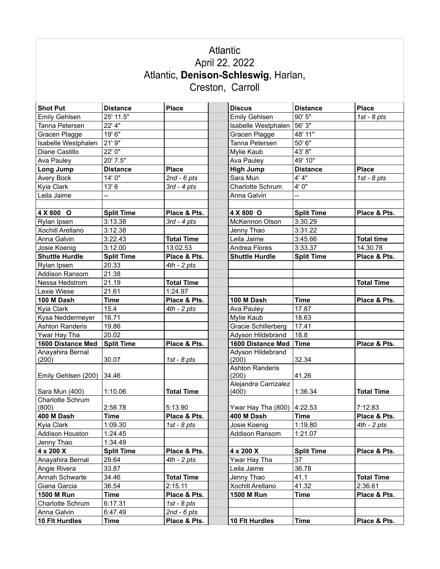## Atlantic April 22, 2022 Atlantic, Denison-Schleswig, Harlan,<br>Creston, Carroll

| <b>Shot Put</b>           | <b>Distance</b>   | <b>Place</b>      | <b>Discus</b>          | <b>Distance</b>   | <b>Place</b>      |
|---------------------------|-------------------|-------------------|------------------------|-------------------|-------------------|
| <b>Emily Gehlsen</b>      | 25' 11.5"         |                   | <b>Emily Gehlsen</b>   | 90' 5"            | $1st - 8pts$      |
| Tanna Petersen            | 22' 4"            |                   | Isabelle Westphalen    | 56' 3"            |                   |
| Gracen Plagge             | 19' 6"            |                   | Gracen Plagge          | 48' 11"           |                   |
| Isabelle Westphalen       | 21' 9"            |                   | Tanna Petersen         | 50' 6"            |                   |
| Diane Castillo            | 22' 0"            |                   | Mylie Kaub             | 43'8"             |                   |
| Ava Pauley                | 20' 7.5"          |                   | Ava Pauley             | 49' 10"           |                   |
| Long Jump                 | <b>Distance</b>   | <b>Place</b>      | <b>High Jump</b>       | <b>Distance</b>   | <b>Place</b>      |
| Avery Bock                | 14' 0"            | $2nd - 6pts$      | Sara Mun               | 4' 4"             | $1st - 8pts$      |
| Kyia Clark                | 13'6              | $3rd - 4pts$      | Charlotte Schrum       | 4'0"              |                   |
| Leila Jaime               |                   |                   | Anna Galvin            |                   |                   |
|                           |                   |                   |                        |                   |                   |
| 4 X 800 O                 | <b>Split Time</b> | Place & Pts.      | 4 X 800 O              | <b>Split Time</b> | Place & Pts.      |
| Rylan Ipsen               | 3:13.38           | $3rd - 4pts$      | McKennon Olson         | 3:30.29           |                   |
| Xochitl Arellano          | 3:12.38           |                   | Jenny Thao             | 3:31.22           |                   |
| Anna Galvin               | 3:22.43           | <b>Total Time</b> | Leila Jaime            | 3:45.66           | <b>Total time</b> |
| Josie Koenig              | 3:12.00           | 13:02.53          | Andrea Flores          | 3:33.37           | 14.30.78          |
| <b>Shuttle Hurdle</b>     | <b>Split Time</b> | Place & Pts.      | <b>Shuttle Hurdle</b>  | <b>Split Time</b> | Place & Pts.      |
| Rylan Ipsen               | 20.33             | $4th - 2pts$      |                        |                   |                   |
| <b>Addison Ransom</b>     | 21.38             |                   |                        |                   |                   |
| Nessa Hedstrom            | 21.19             | <b>Total Time</b> |                        |                   | <b>Total Time</b> |
| Lexie Wiese               | 21.61             | 1:24.97           |                        |                   |                   |
| 100 M Dash                | <b>Time</b>       | Place & Pts.      | 100 M Dash             | <b>Time</b>       | Place & Pts.      |
| Kyia Clark                | 15.4              | $4th - 2 pts$     | Ava Pauley             | 17.87             |                   |
| Kysa Neddermeyer          | 16.71             |                   | Mylie Kaub             | 18.63             |                   |
| <b>Ashton Randeris</b>    | 19.86             |                   | Gracie Schillerberg    | 17.41             |                   |
| Ywar Hay Tha              | 20.02             |                   | Adyson Hildebrand      | 18.8              |                   |
| 1600 Distance Med         | <b>Split Time</b> | Place & Pts.      | 1600 Distance Med      | <b>Time</b>       | Place & Pts.      |
| Anayahira Bernal          |                   |                   | Adyson Hildebrand      |                   |                   |
| (200)                     | 30.07             | 1st - $8$ pts     | (200)                  | 32.34             |                   |
|                           |                   |                   | <b>Ashton Randeris</b> |                   |                   |
| Emily Gehlsen (200)       | 34.46             |                   | (200)                  | 41.26             |                   |
|                           |                   |                   | Alejandra Carrizalez   |                   |                   |
| Sara Mun (400)            | 1:10.06           | <b>Total Time</b> | (400)                  | 1:36.34           | <b>Total Time</b> |
| Charlotte Schrum<br>(800) | 2:58.78           | 5:13.90           | Ywar Hay Tha (800)     | 4:22.53           | 7:12.83           |
| 400 M Dash                | <b>Time</b>       | Place & Pts.      | 400 M Dash             | <b>Time</b>       | Place & Pts.      |
| Kyia Clark                | 1:09.30           | $1st - 8pts$      | Josie Koenig           | 1:19.80           | $4th - 2pts$      |
| Addison Houston           | 1:24.45           |                   | Addison Ransom         | 1:21.07           |                   |
| Jenny Thao                | 1:34.49           |                   |                        |                   |                   |
| 4 x 200 X                 | <b>Split Time</b> | Place & Pts.      | 4 x 200 X              | <b>Split Time</b> | Place & Pts.      |
| Anayahira Bernal          | 29.64             | 4th - 2 pts       | Ywar Hay Tha           | 37                |                   |
| Angie Rivera              | 33.87             |                   | Leila Jaime            | 36.78             |                   |
| Annah Schwarte            | 34.46             | <b>Total Time</b> | Jenny Thao             | 41.1              | <b>Total Time</b> |
| Giana Garcia              | 36.54             | 2:15.11           | Xochitl Arellano       | 41.32             | 2:36.61           |
| 1500 M Run                | <b>Time</b>       | Place & Pts.      | <b>1500 M Run</b>      |                   | Place & Pts.      |
|                           |                   |                   |                        | Time              |                   |
| Charlotte Schrum          | 6:17.31           | 1st - $8$ pts     |                        |                   |                   |
| Anna Galvin               | 6:47.49           | $2nd - 6pts$      |                        |                   |                   |
| 10 Flt Hurdles            | <b>Time</b>       | Place & Pts.      | 10 Flt Hurdles         | <b>Time</b>       | Place & Pts.      |